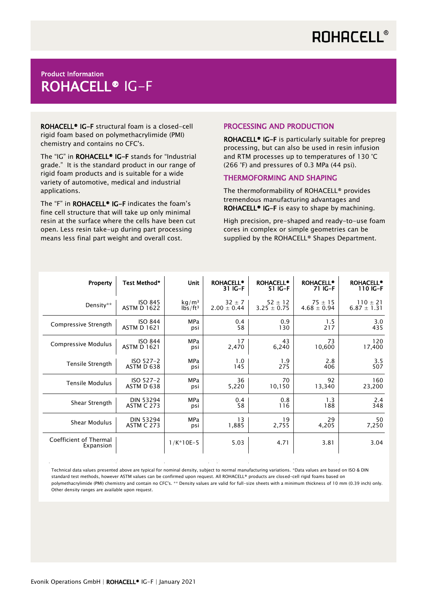## **ROHACELL®**

### Product Information ROHACELL® IG-F

ROHACELL® IG-F structural foam is a closed-cell rigid foam based on polymethacrylimide (PMI) chemistry and contains no CFC's.

The "IG" in ROHACELL® IG-F stands for "Industrial grade." It is the standard product in our range of rigid foam products and is suitable for a wide variety of automotive, medical and industrial applications.

The "F" in ROHACELL® IG-F indicates the foam's fine cell structure that will take up only minimal resin at the surface where the cells have been cut open. Less resin take-up during part processing means less final part weight and overall cost.

### PROCESSING AND PRODUCTION

ROHACELL® IG-F is particularly suitable for prepreg processing, but can also be used in resin infusion and RTM processes up to temperatures of 130 °C (266 °F) and pressures of 0.3 MPa (44 psi).

### THERMOFORMING AND SHAPING

The thermoformability of ROHACELL® provides tremendous manufacturing advantages and ROHACELL<sup>®</sup> IG-F is easy to shape by machining.

High precision, pre-shaped and ready-to-use foam cores in complex or simple geometries can be supplied by the ROHACELL® Shapes Department.

| Property                            | Test Method*       | Unit              | <b>ROHACELL®</b><br>31 IG-F | <b>ROHACELL®</b><br>51 IG-F | <b>ROHACELL®</b><br>71 IG-F | <b>ROHACELL®</b><br>110 IG-F |
|-------------------------------------|--------------------|-------------------|-----------------------------|-----------------------------|-----------------------------|------------------------------|
| Density**                           | <b>ISO 845</b>     | kq/m <sup>3</sup> | $32 \pm 7$                  | $52 \pm 12$                 | $75 \pm 15$                 | $110 \pm 21$                 |
|                                     | <b>ASTM D 1622</b> | $1b5/ft^3$        | $2.00 \pm 0.44$             | $3.25 \pm 0.75$             | $4.68 \pm 0.94$             | $6.87 \pm 1.31$              |
| Compressive Strength                | <b>ISO 844</b>     | <b>MPa</b>        | 0.4                         | 0.9                         | 1.5                         | 3.0                          |
|                                     | <b>ASTM D 1621</b> | psi               | 58                          | 130                         | 217                         | 435                          |
| Compressive Modulus                 | <b>ISO 844</b>     | <b>MPa</b>        | 17                          | 43                          | 73                          | 120                          |
|                                     | <b>ASTM D 1621</b> | psi               | 2,470                       | 6,240                       | 10,600                      | 17,400                       |
| Tensile Strength                    | ISO 527-2          | <b>MPa</b>        | 1.0                         | 1.9                         | 2.8                         | 3.5                          |
|                                     | ASTM D 638         | psi               | 145                         | 275                         | 406                         | 507                          |
| <b>Tensile Modulus</b>              | ISO 527-2          | <b>MPa</b>        | 36                          | 70                          | 92                          | 160                          |
|                                     | ASTM D 638         | psi               | 5,220                       | 10,150                      | 13,340                      | 23,200                       |
| Shear Strength                      | <b>DIN 53294</b>   | <b>MPa</b>        | 0.4                         | 0.8                         | 1.3                         | 2.4                          |
|                                     | <b>ASTM C 273</b>  | psi               | 58                          | 116                         | 188                         | 348                          |
| Shear Modulus                       | <b>DIN 53294</b>   | <b>MPa</b>        | 13                          | 19                          | 29                          | 50                           |
|                                     | <b>ASTM C 273</b>  | psi               | 1,885                       | 2,755                       | 4,205                       | 7,250                        |
| Coefficient of Thermal<br>Expansion |                    | $1/K*10E-5$       | 5.03                        | 4.71                        | 3.81                        | 3.04                         |

Technical data values presented above are typical for nominal density, subject to normal manufacturing variations. \*Data values are based on ISO & DIN standard test methods, however ASTM values can be confirmed upon request. All ROHACELL® products are closed-cell rigid foams based on polymethacrylimide (PMI) chemistry and contain no CFC's. \*\* Density values are valid for full-size sheets with a minimum thickness of 10 mm (0.39 inch) only. Other density ranges are available upon request.